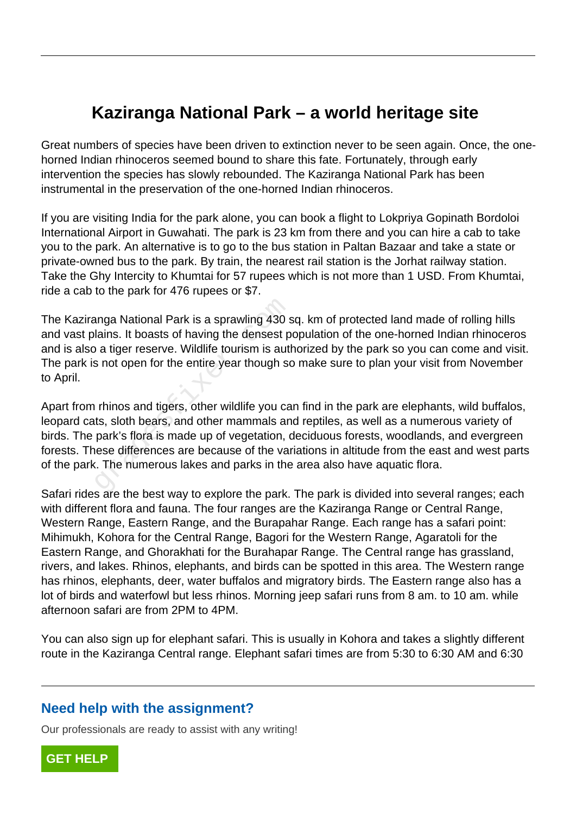## **Kaziranga National Park – a world heritage site**

Great numbers of species have been driven to extinction never to be seen again. Once, the onehorned Indian rhinoceros seemed bound to share this fate. Fortunately, through early intervention the species has slowly rebounded. The Kaziranga National Park has been instrumental in the preservation of the one-horned Indian rhinoceros.

If you are visiting India for the park alone, you can book a flight to Lokpriya Gopinath Bordoloi International Airport in Guwahati. The park is 23 km from there and you can hire a cab to take you to the park. An alternative is to go to the bus station in Paltan Bazaar and take a state or private-owned bus to the park. By train, the nearest rail station is the Jorhat railway station. Take the Ghy Intercity to Khumtai for 57 rupees which is not more than 1 USD. From Khumtai, ride a cab to the park for 476 rupees or \$7.

The Kaziranga National Park is a sprawling 430 sq. km of protected land made of rolling hills and vast plains. It boasts of having the densest population of the one-horned Indian rhinoceros and is also a tiger reserve. Wildlife tourism is authorized by the park so you can come and visit. The park is not open for the entire year though so make sure to plan your visit from November to April.

Apart from rhinos and tigers, other wildlife you can find in the park are elephants, wild buffalos, leopard cats, sloth bears, and other mammals and reptiles, as well as a numerous variety of birds. The park's flora is made up of vegetation, deciduous forests, woodlands, and evergreen forests. These differences are because of the variations in altitude from the east and west parts of the park. The numerous lakes and parks in the area also have aquatic flora. anga National Park is a sprawling 430 s<br>lains. It boasts of having the densest p<br>o a tiger reserve. Wildlife tourism is auth<br>s not open for the entire year though so<br>thinos and tigers, other wildlife you ca<br>ts, sloth bears

Safari rides are the best way to explore the park. The park is divided into several ranges; each with different flora and fauna. The four ranges are the Kaziranga Range or Central Range, Western Range, Eastern Range, and the Burapahar Range. Each range has a safari point: Mihimukh, Kohora for the Central Range, Bagori for the Western Range, Agaratoli for the Eastern Range, and Ghorakhati for the Burahapar Range. The Central range has grassland, rivers, and lakes. Rhinos, elephants, and birds can be spotted in this area. The Western range has rhinos, elephants, deer, water buffalos and migratory birds. The Eastern range also has a lot of birds and waterfowl but less rhinos. Morning jeep safari runs from 8 am. to 10 am. while afternoon safari are from 2PM to 4PM.

You can also sign up for elephant safari. This is usually in Kohora and takes a slightly different route in the Kaziranga Central range. Elephant safari times are from 5:30 to 6:30 AM and 6:30

## **Need help with the assignment?**

Our professionals are ready to assist with any writing!